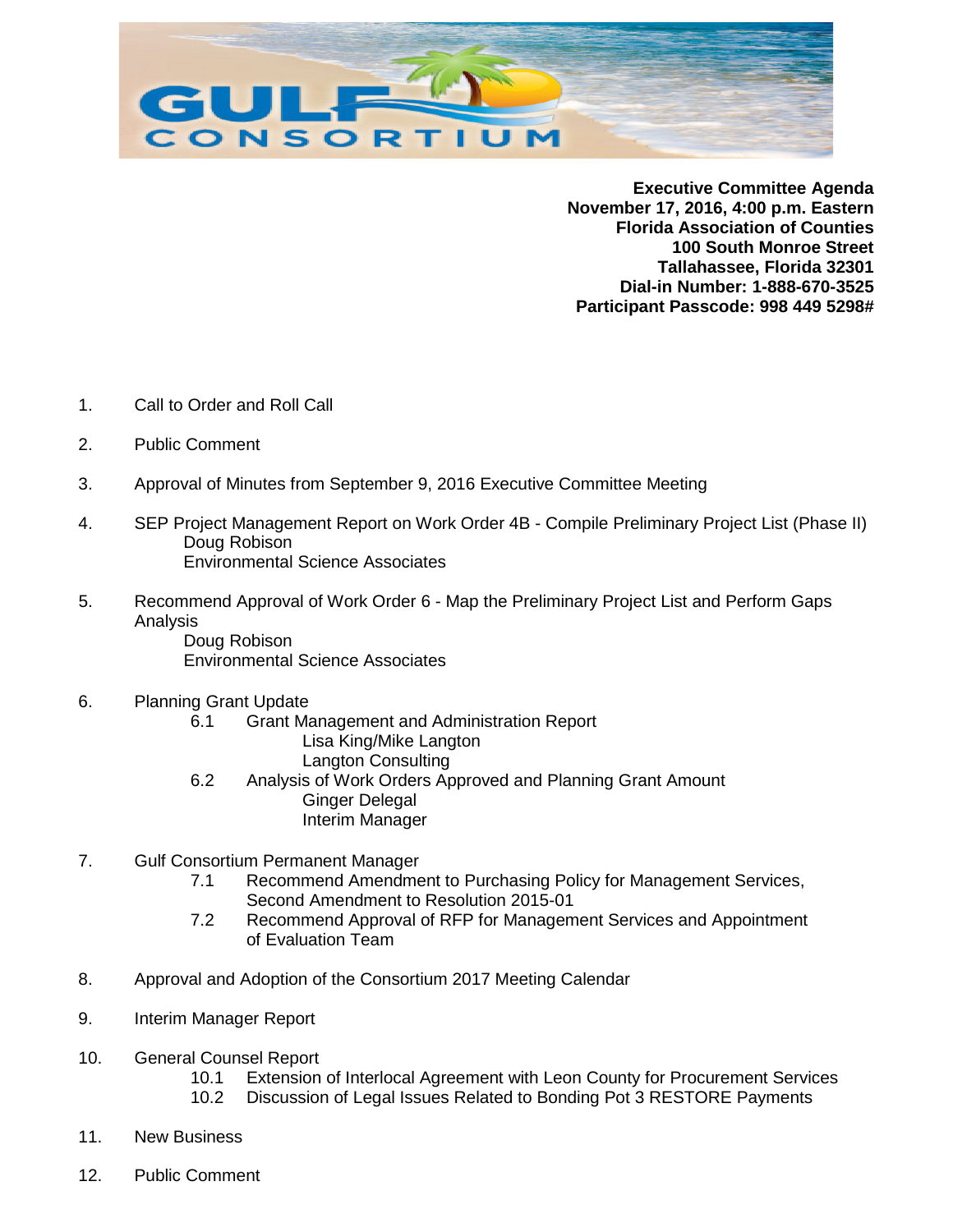

**Executive Committee Agenda November 17, 2016, 4:00 p.m. Eastern Florida Association of Counties 100 South Monroe Street Tallahassee, Florida 32301 Dial-in Number: 1-888-670-3525 Participant Passcode: 998 449 5298#**

- 1. Call to Order and Roll Call
- 2. Public Comment
- 3. Approval of Minutes from September 9, 2016 Executive Committee Meeting
- 4. SEP Project Management Report on Work Order 4B Compile Preliminary Project List (Phase II) Doug Robison Environmental Science Associates
- 5. Recommend Approval of Work Order 6 Map the Preliminary Project List and Perform Gaps Analysis

Doug Robison Environmental Science Associates

- 6. Planning Grant Update
	- 6.1 Grant Management and Administration Report Lisa King/Mike Langton Langton Consulting
	- 6.2 Analysis of Work Orders Approved and Planning Grant Amount Ginger Delegal Interim Manager
- 7. Gulf Consortium Permanent Manager
	- 7.1 Recommend Amendment to Purchasing Policy for Management Services, Second Amendment to Resolution 2015-01
	- 7.2 Recommend Approval of RFP for Management Services and Appointment of Evaluation Team
- 8. Approval and Adoption of the Consortium 2017 Meeting Calendar
- 9. Interim Manager Report
- 10. General Counsel Report
	- 10.1 Extension of Interlocal Agreement with Leon County for Procurement Services
	- 10.2 Discussion of Legal Issues Related to Bonding Pot 3 RESTORE Payments
- 11. New Business
- 12. Public Comment